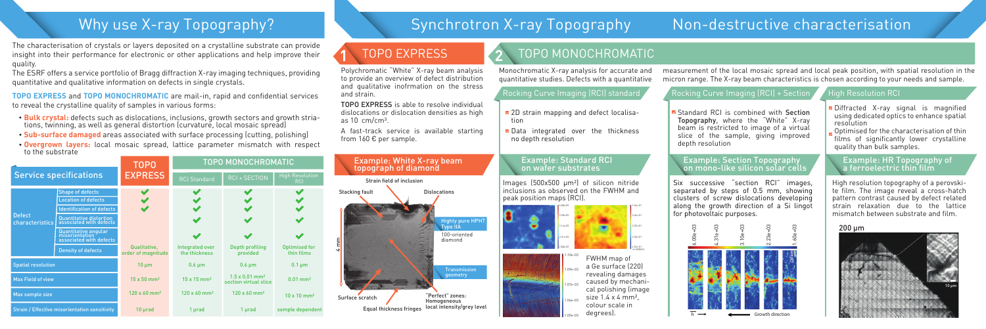

Six successive "section RCI" images, separated by steps of 0.5 mm, showing clusters of screw dislocations developing along the growth direction of a Si lingot for photovoltaic purposes.

### Example: Standard RCI on wafer substrates

- **Bulk crystal:** defects such as dislocations, inclusions, growth sectors and growth stria- tions, twinning, as well as general distortion (curvature, local mosaic spread)
- **Sub-surface damaged** areas associated with surface processing (cutting, polishing)
- **Overgrown layers:** local mosaic spread, lattice parameter mismatch with respect to the substrate

Images (500x500 µm²) of silicon nitride inclusions as observed on the FWHM and peak position maps (RCI).







+9.2308474

# **1** TOPO EXPRESS **2** TOPO MONOCHROMATIC

TOPO EXPRESS is able to resolve individual dislocations or dislocation densities as high as  $10 \text{ cm/cm}^3$ .

**TOPO EXPRESS** and **TOPO MONOCHROMATIC** are mail-in, rapid and confidential services to reveal the crystalline quality of samples in various forms:

- 2D strain mapping and defect localisation
- Data integrated over the thickness no depth resolution

### Example: Section Topography<br>
on mono-like silicon solar cells example: HR Topography of a ferroelectric thin film Example: White X-ray beam

■ Standard RCI is combined with Section Topography, where the "White" X-ray beam is restricted to image of a virtual slice of the sample, giving improved depth resolution

The characterisation of crystals or layers deposited on a crystalline substrate can provide insight into their performance for electronic or other applications and help improve their quality.

The ESRF offers a service portfolio of Bragg diffraction X-ray imaging techniques, providing quantitative and qualitative information on defects in single crystals.

- Diffracted X-ray signal is magnified using dedicated optics to enhance spatial resolution
- Optimised for the characterisation of thin films of significantly lower crystalline quality than bulk samples.

Polychromatic "White" X-ray beam analysis to provide an overview of defect distribution and qualitative inofrmation on the stress and strain.

A fast-track service is available starting from 160 € per sample.

# topograph of diamond



# Why use X-ray Topography? Synchrotron X-ray Topography Non-destructive characterisation

High resolution topography of a perovskite film. The image reveal a cross-hatch pattern contrast caused by defect related strain relaxation due to the lattice mismatch between substrate and film.

Monochromatic X-ray analysis for accurate and quantitative studies. Defects with a quantitative

# Rocking Curve Imaging (RCI) standard **Rocking Curve Imaging (RCI) + Section A** High Resolution RCI

measurement of the local mosaic spread and local peak position, with spatial resolution in the micron range. The X-ray beam characteristics is chosen according to your needs and sample.

FWHM map of a Ge surface (220) revealing damages caused by mechanical polishing (image size 1.4 x 4 mm², colour scale in degrees).

|                                                      |                                                                   | <b>TOPO</b>                        | <b>TOPO MONOCHROMATIC</b>        |                                                            |                                      |
|------------------------------------------------------|-------------------------------------------------------------------|------------------------------------|----------------------------------|------------------------------------------------------------|--------------------------------------|
| <b>Service specifications</b>                        |                                                                   | <b>EXPRESS</b>                     | <b>RCI Standard</b>              | <b>RCI + SECTION</b>                                       | <b>High Resolution</b><br><b>RCI</b> |
| <b>Defect</b><br>characteristics                     | <b>Shape of defects</b>                                           |                                    |                                  |                                                            |                                      |
|                                                      | <b>Location of defects</b>                                        |                                    |                                  |                                                            |                                      |
|                                                      | <b>Identification of defects</b>                                  |                                    |                                  |                                                            |                                      |
|                                                      | Quantitative distortion<br>associated with defects                |                                    |                                  |                                                            |                                      |
|                                                      | Quantitative angular<br>misorientation<br>associated with defects |                                    |                                  |                                                            |                                      |
|                                                      | <b>Density of defects</b>                                         | Qualitative,<br>order of magnitude | Integrated over<br>the thickness | Depth profiling<br>provided                                | <b>Optimised for</b><br>thin films   |
| <b>Spatial resolution</b>                            |                                                                   | $10 \mu m$                         | $0.6 \mu m$                      | $0.6 \mu m$                                                | $0.1 \mu m$                          |
| <b>Max Field of view</b>                             |                                                                   | $15 \times 50$ mm <sup>2</sup>     | $15 \times 15$ mm <sup>2</sup>   | $1.5 \times 0.01$ mm <sup>2</sup><br>section virtual slice | $0.01$ mm <sup>2</sup>               |
| Max sample size                                      |                                                                   | $120 \times 60$ mm <sup>2</sup>    | $120 \times 60$ mm <sup>2</sup>  | $120 \times 60$ mm <sup>2</sup>                            | $10 \times 10$ mm <sup>2</sup>       |
| <b>Strain / Effective misorientation sensitivity</b> |                                                                   | $10 \mu rad$                       | 1 µrad                           | 1 µrad                                                     | sample dependent                     |

### 200 µm